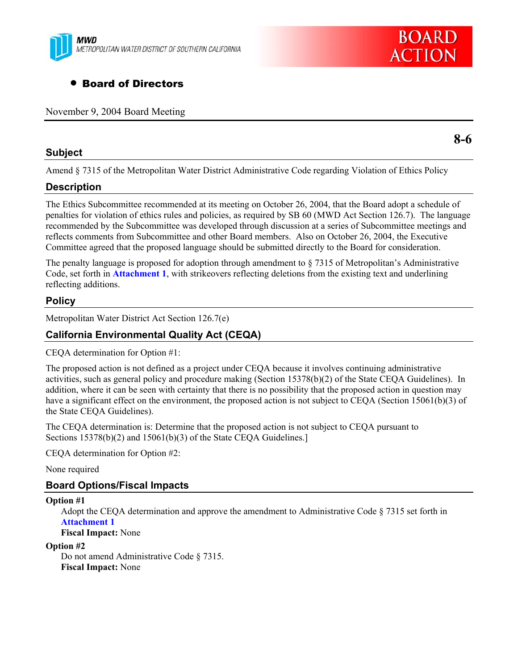

# • Board of Directors

November 9, 2004 Board Meeting

### **Subject**

**8-6** 

**BOARD** 

**ACTION** 

Amend § 7315 of the Metropolitan Water District Administrative Code regarding Violation of Ethics Policy

# **Description**

The Ethics Subcommittee recommended at its meeting on October 26, 2004, that the Board adopt a schedule of penalties for violation of ethics rules and policies, as required by SB 60 (MWD Act Section 126.7). The language recommended by the Subcommittee was developed through discussion at a series of Subcommittee meetings and reflects comments from Subcommittee and other Board members. Also on October 26, 2004, the Executive Committee agreed that the proposed language should be submitted directly to the Board for consideration.

The penalty language is proposed for adoption through amendment to § 7315 of Metropolitan's Administrative Code, set forth in **Attachment 1**, with strikeovers reflecting deletions from the existing text and underlining reflecting additions.

# **Policy**

Metropolitan Water District Act Section 126.7(e)

### **California Environmental Quality Act (CEQA)**

CEQA determination for Option #1:

The proposed action is not defined as a project under CEQA because it involves continuing administrative activities, such as general policy and procedure making (Section 15378(b)(2) of the State CEQA Guidelines). In addition, where it can be seen with certainty that there is no possibility that the proposed action in question may have a significant effect on the environment, the proposed action is not subject to CEQA (Section 15061(b)(3) of the State CEQA Guidelines).

The CEQA determination is: Determine that the proposed action is not subject to CEQA pursuant to Sections 15378(b)(2) and 15061(b)(3) of the State CEQA Guidelines.]

CEQA determination for Option #2:

None required

### **Board Options/Fiscal Impacts**

#### **Option #1**

Adopt the CEQA determination and approve the amendment to Administrative Code § 7315 set forth in **Attachment 1**

**Fiscal Impact:** None

#### **Option #2**

Do not amend Administrative Code § 7315. **Fiscal Impact:** None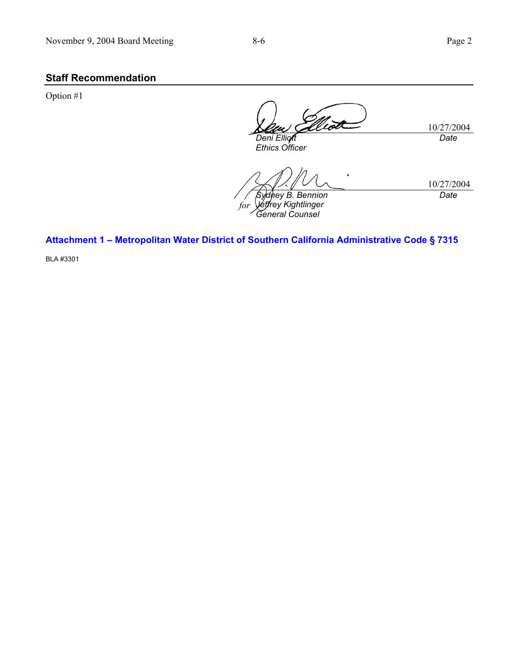# **Staff Recommendation**

Option #1

rot 10/27/2004 *Date Deni Elliott Ethics Officer* 

 $\mathbf{r}$ 10/27/2004 *Date Sydney B. Bennion forJeffrey Kightlinger General Counsel* 

**Attachment 1 – Metropolitan Water District of Southern California Administrative Code § 7315** 

BLA #3301